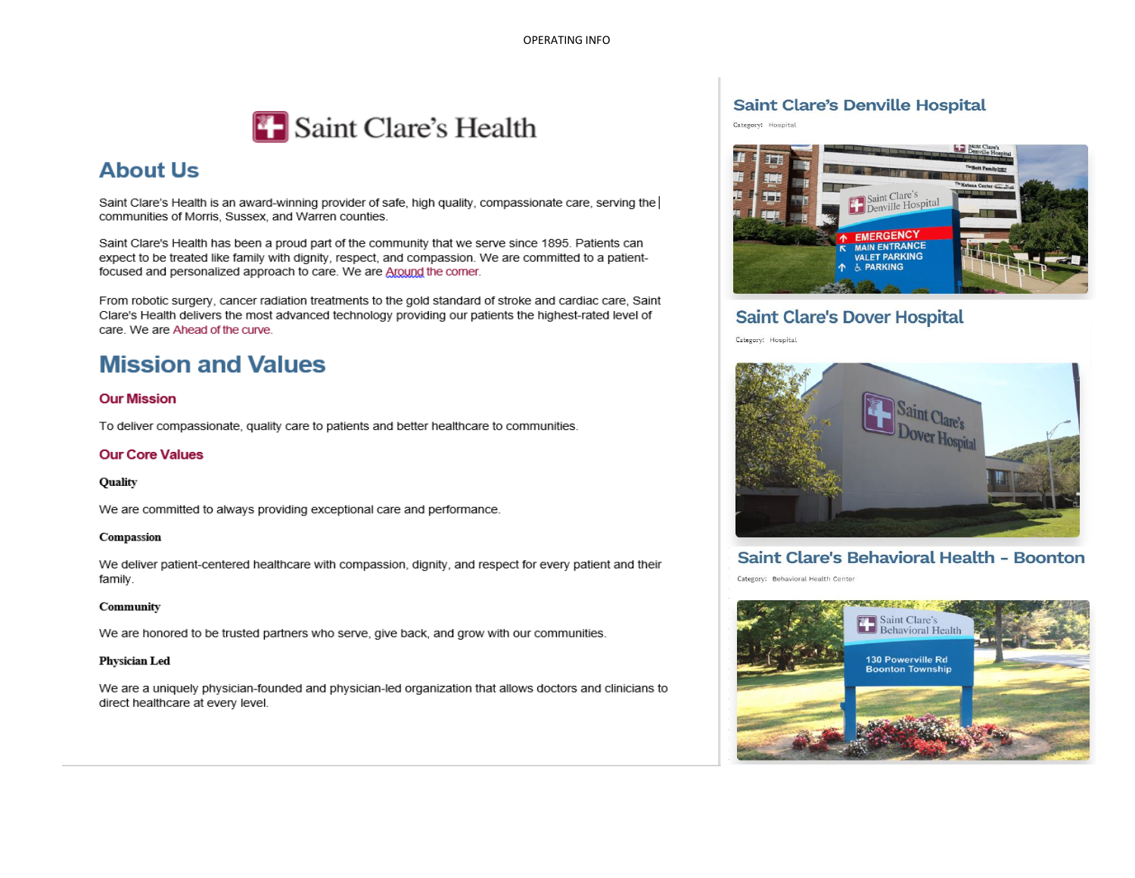

# **About Us**

Saint Clare's Health is an award-winning provider of safe, high quality, compassionate care, serving the communities of Morris, Sussex, and Warren counties.

Saint Clare's Health has been a proud part of the community that we serve since 1895. Patients can expect to be treated like family with dignity, respect, and compassion. We are committed to a patientfocused and personalized approach to care. We are Around the comer.

From robotic surgery, cancer radiation treatments to the gold standard of stroke and cardiac care, Saint Clare's Health delivers the most advanced technology providing our patients the highest-rated level of care. We are Ahead of the curve.

# **Mission and Values**

#### **Our Mission**

To deliver compassionate, quality care to patients and better healthcare to communities.

#### **Our Core Values**

#### Quality

We are committed to always providing exceptional care and performance.

#### Compassion

We deliver patient-centered healthcare with compassion, dignity, and respect for every patient and their family.

#### Community

We are honored to be trusted partners who serve, give back, and grow with our communities.

#### **Physician Led**

We are a uniquely physician-founded and physician-led organization that allows doctors and clinicians to direct healthcare at every level.

### **Saint Clare's Denville Hospital**

Category: Hospital



### **Saint Clare's Dover Hospital**

Category: Hospital



### Saint Clare's Behavioral Health - Boonton

Category: Behavioral Health Center

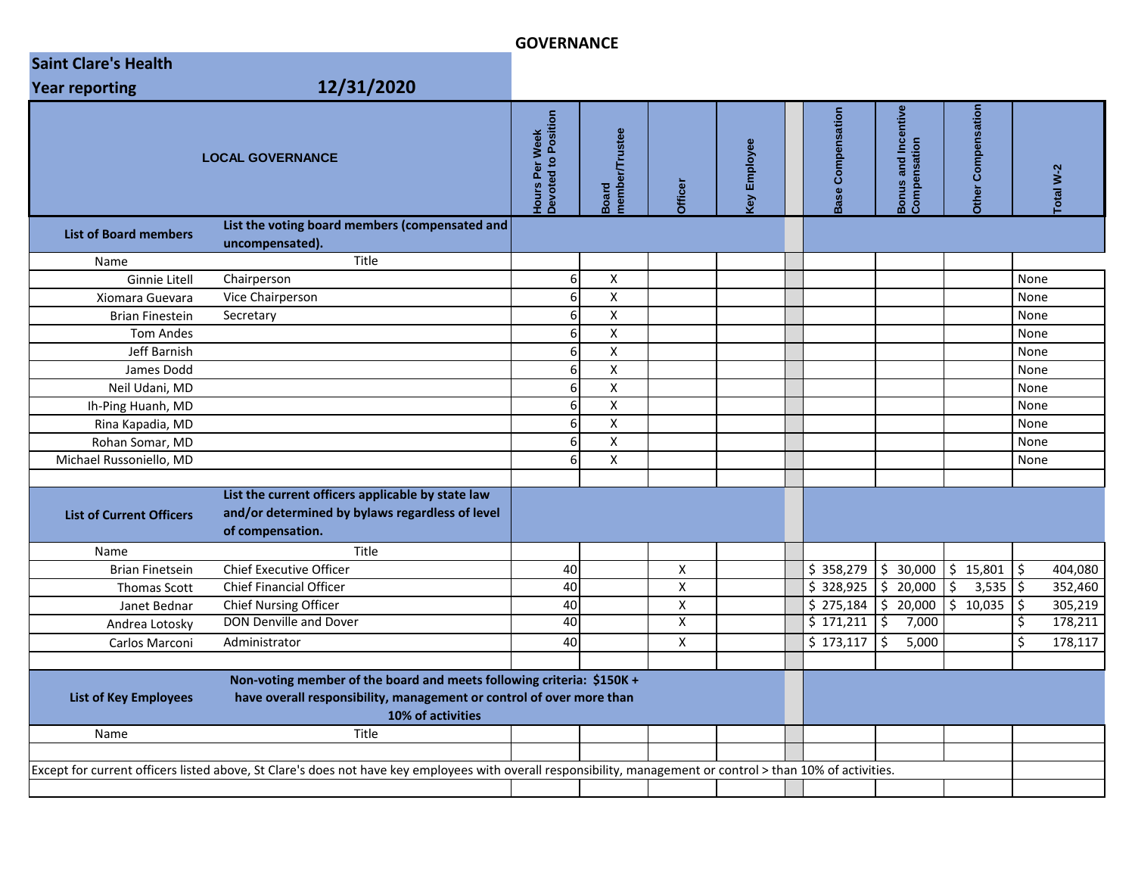### **GOVERNANCE**

| <b>Saint Clare's Health</b>                                                                                                                                   |                                                                                                                                                                             |                                              |                                |                         |                     |  |                          |                                                     |                              |      |          |
|---------------------------------------------------------------------------------------------------------------------------------------------------------------|-----------------------------------------------------------------------------------------------------------------------------------------------------------------------------|----------------------------------------------|--------------------------------|-------------------------|---------------------|--|--------------------------|-----------------------------------------------------|------------------------------|------|----------|
| <b>Year reporting</b>                                                                                                                                         | 12/31/2020                                                                                                                                                                  |                                              |                                |                         |                     |  |                          |                                                     |                              |      |          |
|                                                                                                                                                               | <b>LOCAL GOVERNANCE</b>                                                                                                                                                     | <b>Hours Per Week</b><br>Devoted to Position | nember/Trustee<br><b>Board</b> | Officer                 | <b>Cey Employee</b> |  | <b>Base Compensation</b> | Incentive<br><b>Bonus and Ince<br/>Compensation</b> | Compensation<br><b>Other</b> |      | otal W-2 |
| <b>List of Board members</b>                                                                                                                                  | List the voting board members (compensated and<br>uncompensated).                                                                                                           |                                              |                                |                         |                     |  |                          |                                                     |                              |      |          |
| Name                                                                                                                                                          | Title                                                                                                                                                                       |                                              |                                |                         |                     |  |                          |                                                     |                              |      |          |
| <b>Ginnie Litell</b>                                                                                                                                          | Chairperson                                                                                                                                                                 | 6                                            | X                              |                         |                     |  |                          |                                                     |                              | None |          |
| Xiomara Guevara                                                                                                                                               | Vice Chairperson                                                                                                                                                            | 6 <sup>1</sup>                               | $\pmb{\mathsf{X}}$             |                         |                     |  |                          |                                                     |                              | None |          |
| <b>Brian Finestein</b>                                                                                                                                        | Secretary                                                                                                                                                                   | $6 \mid$                                     | $\boldsymbol{\mathsf{X}}$      |                         |                     |  |                          |                                                     |                              | None |          |
| <b>Tom Andes</b>                                                                                                                                              |                                                                                                                                                                             | $6 \mid$                                     | $\pmb{\chi}$                   |                         |                     |  |                          |                                                     |                              | None |          |
| Jeff Barnish                                                                                                                                                  |                                                                                                                                                                             | 6                                            | $\overline{\mathsf{x}}$        |                         |                     |  |                          |                                                     |                              | None |          |
| James Dodd                                                                                                                                                    |                                                                                                                                                                             | 6 <sup>1</sup>                               | $\pmb{\chi}$                   |                         |                     |  |                          |                                                     |                              | None |          |
| Neil Udani, MD                                                                                                                                                |                                                                                                                                                                             | 6                                            | $\pmb{\chi}$                   |                         |                     |  |                          |                                                     |                              | None |          |
| Ih-Ping Huanh, MD                                                                                                                                             |                                                                                                                                                                             | 6                                            | $\pmb{\mathsf{X}}$             |                         |                     |  |                          |                                                     |                              | None |          |
| Rina Kapadia, MD                                                                                                                                              |                                                                                                                                                                             | $6 \mid$                                     | $\pmb{\mathsf{X}}$             |                         |                     |  |                          |                                                     |                              | None |          |
| Rohan Somar, MD                                                                                                                                               |                                                                                                                                                                             | 6                                            | $\pmb{\chi}$                   |                         |                     |  |                          |                                                     |                              | None |          |
| Michael Russoniello, MD                                                                                                                                       |                                                                                                                                                                             | 6                                            | $\overline{\mathbf{x}}$        |                         |                     |  |                          |                                                     |                              | None |          |
| <b>List of Current Officers</b>                                                                                                                               | List the current officers applicable by state law<br>and/or determined by bylaws regardless of level<br>of compensation.                                                    |                                              |                                |                         |                     |  |                          |                                                     |                              |      |          |
| Name                                                                                                                                                          | Title                                                                                                                                                                       |                                              |                                |                         |                     |  |                          |                                                     |                              |      |          |
| <b>Brian Finetsein</b>                                                                                                                                        | <b>Chief Executive Officer</b>                                                                                                                                              | 40                                           |                                | X                       |                     |  | \$358,279                | \$30,000                                            | \$15,801                     | \$   | 404,080  |
| <b>Thomas Scott</b>                                                                                                                                           | <b>Chief Financial Officer</b>                                                                                                                                              | 40                                           |                                | $\mathsf{x}$            |                     |  | \$328,925                | \$20,000                                            | \$<br>3,535                  | l\$  | 352,460  |
| Janet Bednar                                                                                                                                                  | <b>Chief Nursing Officer</b>                                                                                                                                                | 40                                           |                                | X                       |                     |  | \$275,184                | \$20,000                                            | $\frac{1}{5}$ 10,035         | \$   | 305,219  |
| Andrea Lotosky                                                                                                                                                | DON Denville and Dover                                                                                                                                                      | 40                                           |                                | $\overline{\mathsf{x}}$ |                     |  | \$171,211                | \$ ا<br>7,000                                       |                              | \$   | 178,211  |
| Carlos Marconi                                                                                                                                                | Administrator                                                                                                                                                               | 40                                           |                                | X                       |                     |  | \$173,117                | 5<br>5,000                                          |                              | \$   | 178,117  |
| <b>List of Key Employees</b><br>Name                                                                                                                          | Non-voting member of the board and meets following criteria: \$150K +<br>have overall responsibility, management or control of over more than<br>10% of activities<br>Title |                                              |                                |                         |                     |  |                          |                                                     |                              |      |          |
|                                                                                                                                                               |                                                                                                                                                                             |                                              |                                |                         |                     |  |                          |                                                     |                              |      |          |
| Except for current officers listed above, St Clare's does not have key employees with overall responsibility, management or control > than 10% of activities. |                                                                                                                                                                             |                                              |                                |                         |                     |  |                          |                                                     |                              |      |          |